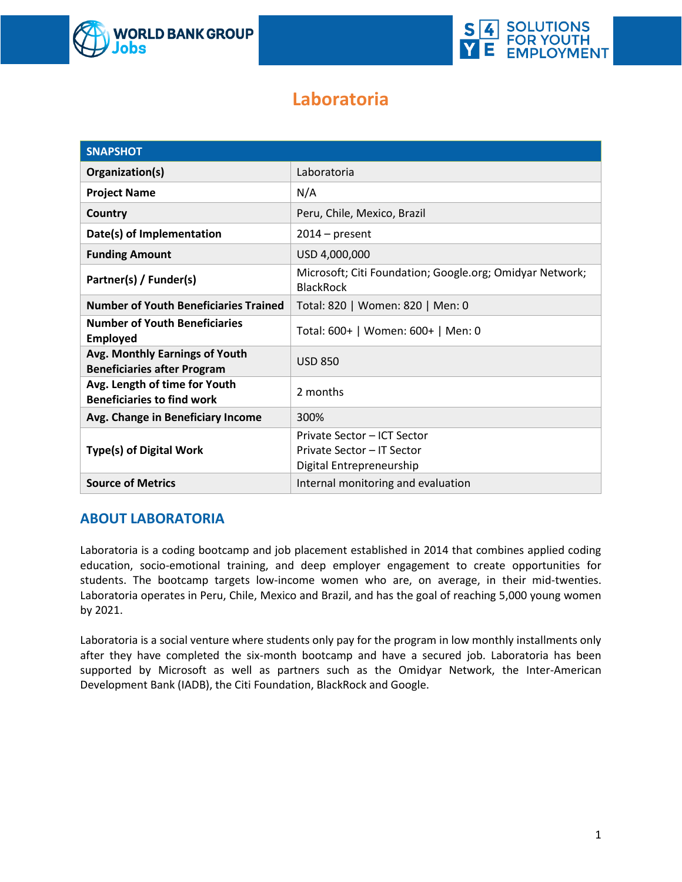



# **Laboratoria**

| <b>SNAPSHOT</b>                                                      |                                                                                       |  |  |  |
|----------------------------------------------------------------------|---------------------------------------------------------------------------------------|--|--|--|
| Organization(s)                                                      | Laboratoria                                                                           |  |  |  |
| <b>Project Name</b>                                                  | N/A                                                                                   |  |  |  |
| Country                                                              | Peru, Chile, Mexico, Brazil                                                           |  |  |  |
| Date(s) of Implementation                                            | $2014$ – present                                                                      |  |  |  |
| <b>Funding Amount</b>                                                | USD 4,000,000                                                                         |  |  |  |
| Partner(s) / Funder(s)                                               | Microsoft; Citi Foundation; Google.org; Omidyar Network;<br><b>BlackRock</b>          |  |  |  |
| <b>Number of Youth Beneficiaries Trained</b>                         | Total: 820   Women: 820   Men: 0                                                      |  |  |  |
| <b>Number of Youth Beneficiaries</b><br><b>Employed</b>              | Total: 600+   Women: 600+   Men: 0                                                    |  |  |  |
| Avg. Monthly Earnings of Youth<br><b>Beneficiaries after Program</b> | <b>USD 850</b>                                                                        |  |  |  |
| Avg. Length of time for Youth<br><b>Beneficiaries to find work</b>   | 2 months                                                                              |  |  |  |
| Avg. Change in Beneficiary Income                                    | 300%                                                                                  |  |  |  |
| <b>Type(s) of Digital Work</b>                                       | Private Sector - ICT Sector<br>Private Sector - IT Sector<br>Digital Entrepreneurship |  |  |  |
| <b>Source of Metrics</b>                                             | Internal monitoring and evaluation                                                    |  |  |  |

## **ABOUT LABORATORIA**

Laboratoria is a coding bootcamp and job placement established in 2014 that combines applied coding education, socio-emotional training, and deep employer engagement to create opportunities for students. The bootcamp targets low-income women who are, on average, in their mid-twenties. Laboratoria operates in Peru, Chile, Mexico and Brazil, and has the goal of reaching 5,000 young women by 2021.

Laboratoria is a social venture where students only pay for the program in low monthly installments only after they have completed the six-month bootcamp and have a secured job. Laboratoria has been supported by Microsoft as well as partners such as the Omidyar Network, the Inter-American Development Bank (IADB), the Citi Foundation, BlackRock and Google.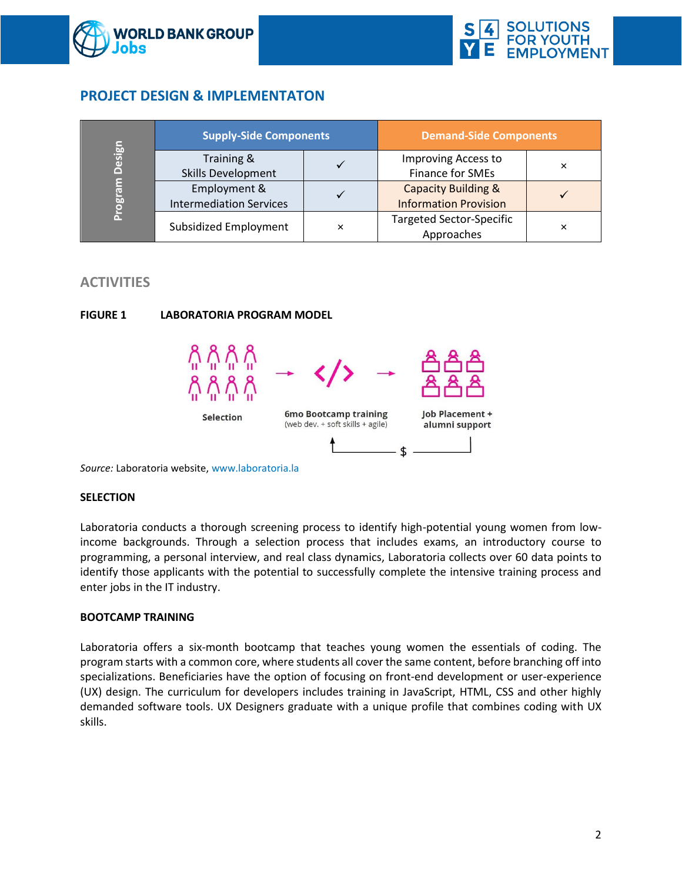



## **PROJECT DESIGN & IMPLEMENTATON**

| Design<br>Progra | <b>Supply-Side Components</b>           |   | <b>Demand-Side Components</b>                 |   |
|------------------|-----------------------------------------|---|-----------------------------------------------|---|
|                  | Training &<br><b>Skills Development</b> |   | Improving Access to<br>Finance for SMEs       | × |
|                  | Employment &                            |   | <b>Capacity Building &amp;</b>                |   |
|                  | <b>Intermediation Services</b>          |   | <b>Information Provision</b>                  |   |
|                  | Subsidized Employment                   | × | <b>Targeted Sector-Specific</b><br>Approaches | × |

## **ACTIVITIES**



**FIGURE 1 LABORATORIA PROGRAM MODEL**

*Source:* Laboratoria website, [www.laboratoria.la](http://www.laboratoria.la/)

#### **SELECTION**

Laboratoria conducts a thorough screening process to identify high-potential young women from lowincome backgrounds. Through a selection process that includes exams, an introductory course to programming, a personal interview, and real class dynamics, Laboratoria collects over 60 data points to identify those applicants with the potential to successfully complete the intensive training process and enter jobs in the IT industry.

#### **BOOTCAMP TRAINING**

Laboratoria offers a six-month bootcamp that teaches young women the essentials of coding. The program starts with a common core, where students all cover the same content, before branching off into specializations. Beneficiaries have the option of focusing on front-end development or user-experience (UX) design. The curriculum for developers includes training in JavaScript, HTML, CSS and other highly demanded software tools. UX Designers graduate with a unique profile that combines coding with UX skills.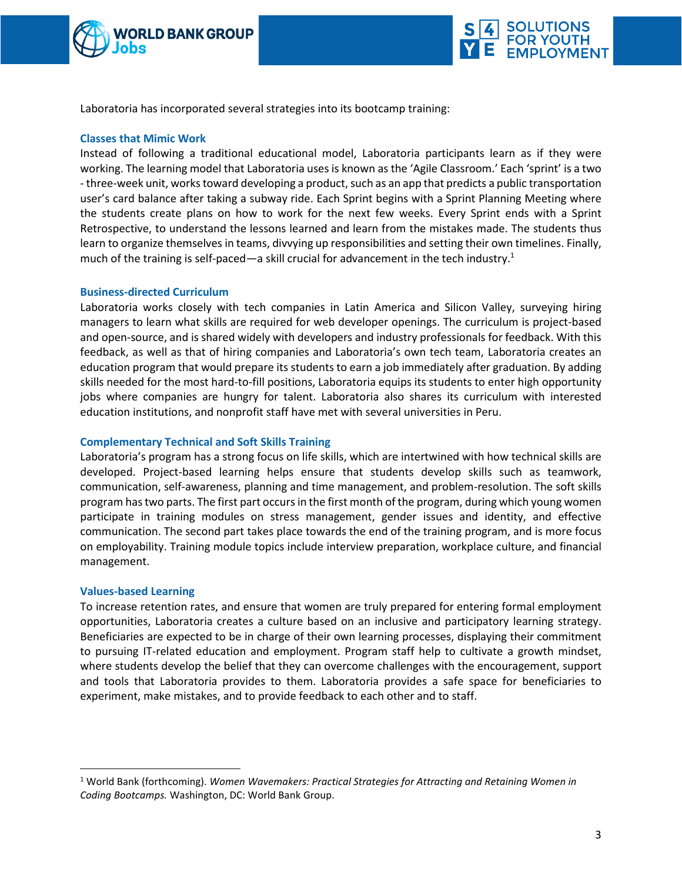



Laboratoria has incorporated several strategies into its bootcamp training:

#### **Classes that Mimic Work**

Instead of following a traditional educational model, Laboratoria participants learn as if they were working. The learning model that Laboratoria uses is known as the 'Agile Classroom.' Each 'sprint' is a two - three-week unit, works toward developing a product, such as an app that predicts a public transportation user's card balance after taking a subway ride. Each Sprint begins with a Sprint Planning Meeting where the students create plans on how to work for the next few weeks. Every Sprint ends with a Sprint Retrospective, to understand the lessons learned and learn from the mistakes made. The students thus learn to organize themselves in teams, divvying up responsibilities and setting their own timelines. Finally, much of the training is self-paced—a skill crucial for advancement in the tech industry.<sup>1</sup>

#### **Business-directed Curriculum**

Laboratoria works closely with tech companies in Latin America and Silicon Valley, surveying hiring managers to learn what skills are required for web developer openings. The curriculum is project-based and open-source, and is shared widely with developers and industry professionals for feedback. With this feedback, as well as that of hiring companies and Laboratoria's own tech team, Laboratoria creates an education program that would prepare its students to earn a job immediately after graduation. By adding skills needed for the most hard-to-fill positions, Laboratoria equips its students to enter high opportunity jobs where companies are hungry for talent. Laboratoria also shares its curriculum with interested education institutions, and nonprofit staff have met with several universities in Peru.

#### **Complementary Technical and Soft Skills Training**

Laboratoria's program has a strong focus on life skills, which are intertwined with how technical skills are developed. Project-based learning helps ensure that students develop skills such as teamwork, communication, self-awareness, planning and time management, and problem-resolution. The soft skills program has two parts. The first part occurs in the first month of the program, during which young women participate in training modules on stress management, gender issues and identity, and effective communication. The second part takes place towards the end of the training program, and is more focus on employability. Training module topics include interview preparation, workplace culture, and financial management.

#### **Values-based Learning**

 $\overline{a}$ 

To increase retention rates, and ensure that women are truly prepared for entering formal employment opportunities, Laboratoria creates a culture based on an inclusive and participatory learning strategy. Beneficiaries are expected to be in charge of their own learning processes, displaying their commitment to pursuing IT-related education and employment. Program staff help to cultivate a growth mindset, where students develop the belief that they can overcome challenges with the encouragement, support and tools that Laboratoria provides to them. Laboratoria provides a safe space for beneficiaries to experiment, make mistakes, and to provide feedback to each other and to staff.

<sup>1</sup> World Bank (forthcoming). *Women Wavemakers: Practical Strategies for Attracting and Retaining Women in Coding Bootcamps.* Washington, DC: World Bank Group.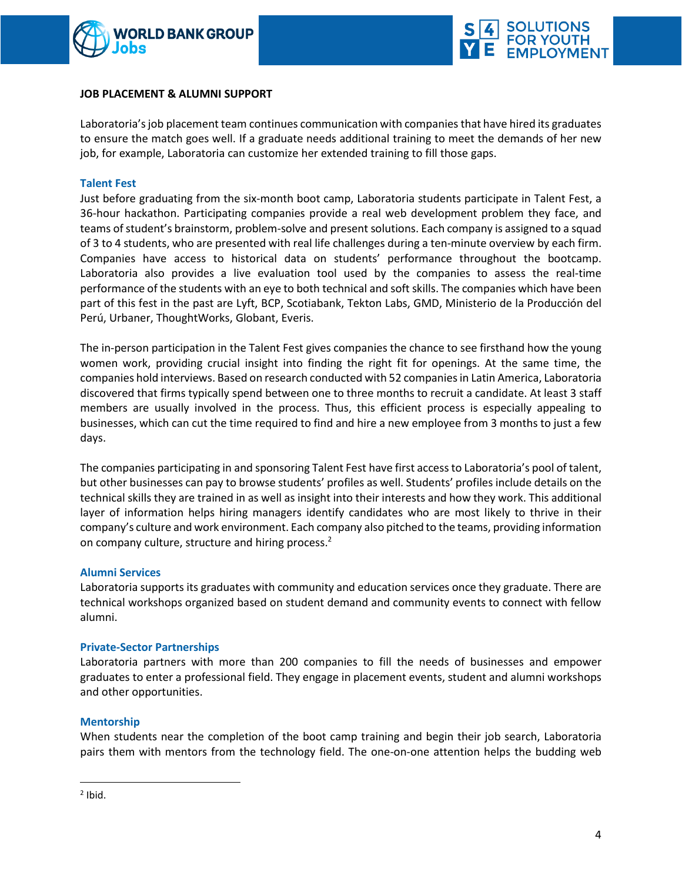



#### **JOB PLACEMENT & ALUMNI SUPPORT**

Laboratoria's job placement team continues communication with companies that have hired its graduates to ensure the match goes well. If a graduate needs additional training to meet the demands of her new job, for example, Laboratoria can customize her extended training to fill those gaps.

#### **Talent Fest**

Just before graduating from the six-month boot camp, Laboratoria students participate in Talent Fest, a 36-hour hackathon. Participating companies provide a real web development problem they face, and teams ofstudent's brainstorm, problem-solve and present solutions. Each company is assigned to a squad of 3 to 4 students, who are presented with real life challenges during a ten-minute overview by each firm. Companies have access to historical data on students' performance throughout the bootcamp. Laboratoria also provides a live evaluation tool used by the companies to assess the real-time performance of the students with an eye to both technical and soft skills. The companies which have been part of this fest in the past are Lyft, BCP, Scotiabank, Tekton Labs, GMD, Ministerio de la Producción del Perú, Urbaner, ThoughtWorks, Globant, Everis.

The in-person participation in the Talent Fest gives companies the chance to see firsthand how the young women work, providing crucial insight into finding the right fit for openings. At the same time, the companies hold interviews. Based on research conducted with 52 companiesin Latin America, Laboratoria discovered that firms typically spend between one to three months to recruit a candidate. At least 3 staff members are usually involved in the process. Thus, this efficient process is especially appealing to businesses, which can cut the time required to find and hire a new employee from 3 months to just a few days.

The companies participating in and sponsoring Talent Fest have first accessto Laboratoria's pool of talent, but other businesses can pay to browse students' profiles as well. Students' profiles include details on the technical skills they are trained in as well as insight into their interests and how they work. This additional layer of information helps hiring managers identify candidates who are most likely to thrive in their company's culture and work environment. Each company also pitched to the teams, providing information on company culture, structure and hiring process.<sup>2</sup>

#### **Alumni Services**

Laboratoria supports its graduates with community and education services once they graduate. There are technical workshops organized based on student demand and community events to connect with fellow alumni.

#### **Private-Sector Partnerships**

Laboratoria partners with more than 200 companies to fill the needs of businesses and empower graduates to enter a professional field. They engage in placement events, student and alumni workshops and other opportunities.

#### **Mentorship**

When students near the completion of the boot camp training and begin their job search, Laboratoria pairs them with mentors from the technology field. The one-on-one attention helps the budding web

 $\overline{a}$ 

 $<sup>2</sup>$  Ibid.</sup>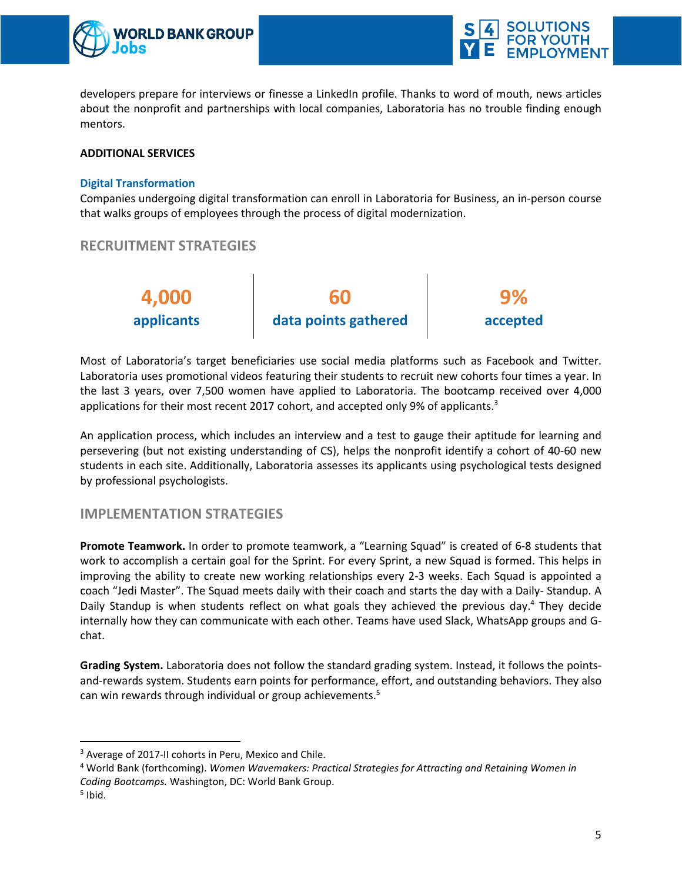



developers prepare for interviews or finesse a LinkedIn profile. Thanks to word of mouth, news articles about the nonprofit and partnerships with local companies, Laboratoria has no trouble finding enough mentors.

#### **ADDITIONAL SERVICES**

#### **Digital Transformation**

Companies undergoing digital transformation can enroll in Laboratoria for Business, an in-person course that walks groups of employees through the process of digital modernization.

### **RECRUITMENT STRATEGIES**



Most of Laboratoria's target beneficiaries use social media platforms such as Facebook and Twitter. Laboratoria uses promotional videos featuring their students to recruit new cohorts four times a year. In the last 3 years, over 7,500 women have applied to Laboratoria. The bootcamp received over 4,000 applications for their most recent 2017 cohort, and accepted only 9% of applicants. $3$ 

An application process, which includes an interview and a test to gauge their aptitude for learning and persevering (but not existing understanding of CS), helps the nonprofit identify a cohort of 40-60 new students in each site. Additionally, Laboratoria assesses its applicants using psychological tests designed by professional psychologists.

### **IMPLEMENTATION STRATEGIES**

**Promote Teamwork.** In order to promote teamwork, a "Learning Squad" is created of 6-8 students that work to accomplish a certain goal for the Sprint. For every Sprint, a new Squad is formed. This helps in improving the ability to create new working relationships every 2-3 weeks. Each Squad is appointed a coach "Jedi Master". The Squad meets daily with their coach and starts the day with a Daily- Standup. A Daily Standup is when students reflect on what goals they achieved the previous day.<sup>4</sup> They decide internally how they can communicate with each other. Teams have used Slack, WhatsApp groups and Gchat.

**Grading System.** Laboratoria does not follow the standard grading system. Instead, it follows the pointsand-rewards system. Students earn points for performance, effort, and outstanding behaviors. They also can win rewards through individual or group achievements.<sup>5</sup>

<sup>5</sup> Ibid.

 $\overline{a}$ 

<sup>&</sup>lt;sup>3</sup> Average of 2017-II cohorts in Peru, Mexico and Chile.

<sup>4</sup> World Bank (forthcoming). *Women Wavemakers: Practical Strategies for Attracting and Retaining Women in Coding Bootcamps.* Washington, DC: World Bank Group.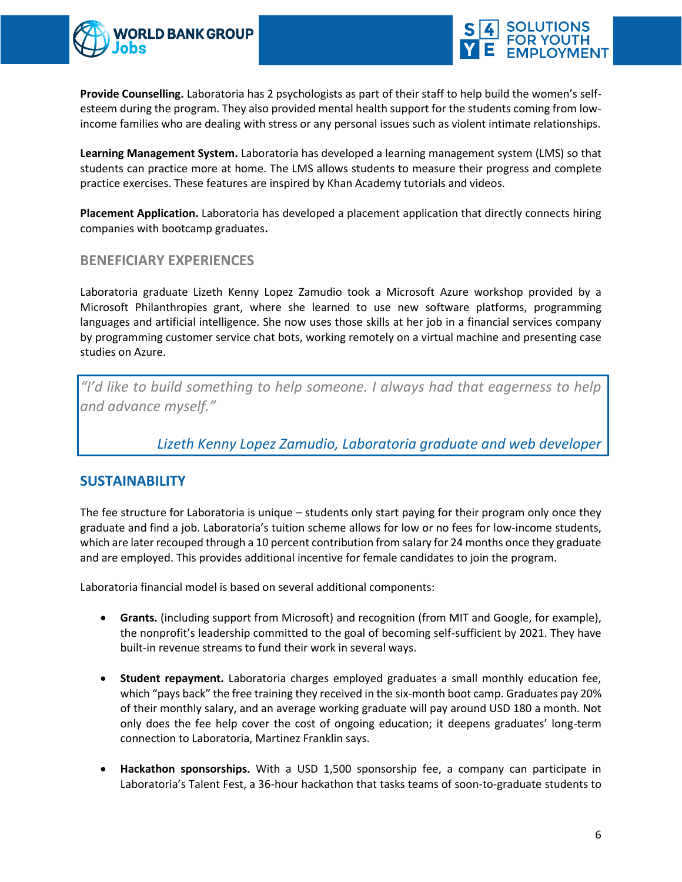



**Provide Counselling.** Laboratoria has 2 psychologists as part of their staff to help build the women's selfesteem during the program. They also provided mental health support for the students coming from lowincome families who are dealing with stress or any personal issues such as violent intimate relationships.

**Learning Management System.** Laboratoria has developed a learning management system (LMS) so that students can practice more at home. The LMS allows students to measure their progress and complete practice exercises. These features are inspired by Khan Academy tutorials and videos.

**Placement Application.** Laboratoria has developed a placement application that directly connects hiring companies with bootcamp graduates**.**

### **BENEFICIARY EXPERIENCES**

Laboratoria graduate Lizeth Kenny Lopez Zamudio took a Microsoft Azure workshop provided by a Microsoft Philanthropies grant, where she learned to use new software platforms, programming languages and artificial intelligence. She now uses those skills at her job in a financial services company by programming customer service chat bots, working remotely on a virtual machine and presenting case studies on Azure.

*"I'd like to build something to help someone. I always had that eagerness to help and advance myself."*

*Lizeth Kenny Lopez Zamudio, Laboratoria graduate and web developer*

## **SUSTAINABILITY**

The fee structure for Laboratoria is unique – students only start paying for their program only once they graduate and find a job. Laboratoria's tuition scheme allows for low or no fees for low-income students, which are later recouped through a 10 percent contribution from salary for 24 months once they graduate and are employed. This provides additional incentive for female candidates to join the program.

Laboratoria financial model is based on several additional components:

- **Grants.** (including support from Microsoft) and recognition (from MIT and Google, for example), the nonprofit's leadership committed to the goal of becoming self-sufficient by 2021. They have built-in revenue streams to fund their work in several ways.
- **Student repayment.** Laboratoria charges employed graduates a small monthly education fee, which "pays back" the free training they received in the six-month boot camp. Graduates pay 20% of their monthly salary, and an average working graduate will pay around USD 180 a month. Not only does the fee help cover the cost of ongoing education; it deepens graduates' long-term connection to Laboratoria, Martinez Franklin says.
- **Hackathon sponsorships.** With a USD 1,500 sponsorship fee, a company can participate in Laboratoria's Talent Fest, a 36-hour hackathon that tasks teams of soon-to-graduate students to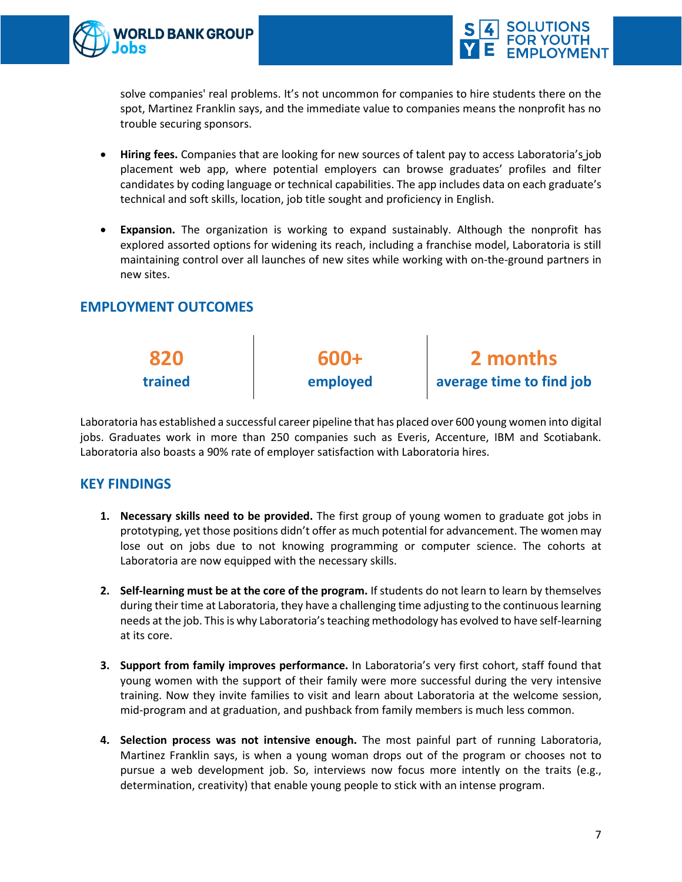



solve companies' real problems. It's not uncommon for companies to hire students there on the spot, Martinez Franklin says, and the immediate value to companies means the nonprofit has no trouble securing sponsors.

- **Hiring fees.** Companies that are looking for new sources of talent pay to access Labo[ratoria's](https://app.talento.laboratoria.la/) job [placement web app](https://app.talento.laboratoria.la/), where potential employers can browse graduates' profiles and filter candidates by coding language or technical capabilities. The app includes data on each graduate's technical and soft skills, location, job title sought and proficiency in English.
- **Expansion.** The organization is working to expand sustainably. Although the nonprofit has explored assorted options for widening its reach, including a franchise model, Laboratoria is still maintaining control over all launches of new sites while working with on-the-ground partners in new sites.

## **EMPLOYMENT OUTCOMES**



Laboratoria has established a successful career pipeline that has placed over 600 young women into digital jobs. Graduates work in more than 250 companies such as Everis, Accenture, IBM and Scotiabank. Laboratoria also boasts a 90% rate of employer satisfaction with Laboratoria hires.

## **KEY FINDINGS**

- **1. Necessary skills need to be provided.** The first group of young women to graduate got jobs in prototyping, yet those positions didn't offer as much potential for advancement. The women may lose out on jobs due to not knowing programming or computer science. The cohorts at Laboratoria are now equipped with the necessary skills.
- **2. Self-learning must be at the core of the program.** If students do not learn to learn by themselves during their time at Laboratoria, they have a challenging time adjusting to the continuous learning needs at the job. This is why Laboratoria's teaching methodology has evolved to have self-learning at its core.
- **3. Support from family improves performance.** In Laboratoria's very first cohort, staff found that young women with the support of their family were more successful during the very intensive training. Now they invite families to visit and learn about Laboratoria at the welcome session, mid-program and at graduation, and pushback from family members is much less common.
- **4. Selection process was not intensive enough.** The most painful part of running Laboratoria, Martinez Franklin says, is when a young woman drops out of the program or chooses not to pursue a web development job. So, interviews now focus more intently on the traits (e.g., determination, creativity) that enable young people to stick with an intense program.